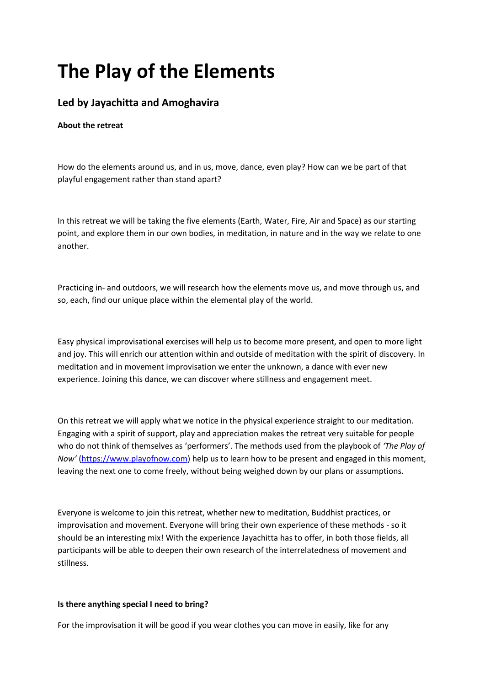# **The Play of the Elements**

## **Led by Jayachitta and Amoghavira**

### **About the retreat**

How do the elements around us, and in us, move, dance, even play? How can we be part of that playful engagement rather than stand apart?

In this retreat we will be taking the five elements (Earth, Water, Fire, Air and Space) as our starting point, and explore them in our own bodies, in meditation, in nature and in the way we relate to one another.

Practicing in- and outdoors, we will research how the elements move us, and move through us, and so, each, find our unique place within the elemental play of the world.

Easy physical improvisational exercises will help us to become more present, and open to more light and joy. This will enrich our attention within and outside of meditation with the spirit of discovery. In meditation and in movement improvisation we enter the unknown, a dance with ever new experience. Joining this dance, we can discover where stillness and engagement meet.

On this retreat we will apply what we notice in the physical experience straight to our meditation. Engaging with a spirit of support, play and appreciation makes the retreat very suitable for people who do not think of themselves as 'performers'. The methods used from the playbook of *'The Play of Now'* [\(https://www.playofnow.com\)](https://www.playofnow.com/) help us to learn how to be present and engaged in this moment, leaving the next one to come freely, without being weighed down by our plans or assumptions.

Everyone is welcome to join this retreat, whether new to meditation, Buddhist practices, or improvisation and movement. Everyone will bring their own experience of these methods - so it should be an interesting mix! With the experience Jayachitta has to offer, in both those fields, all participants will be able to deepen their own research of the interrelatedness of movement and stillness.

#### **Is there anything special I need to bring?**

For the improvisation it will be good if you wear clothes you can move in easily, like for any